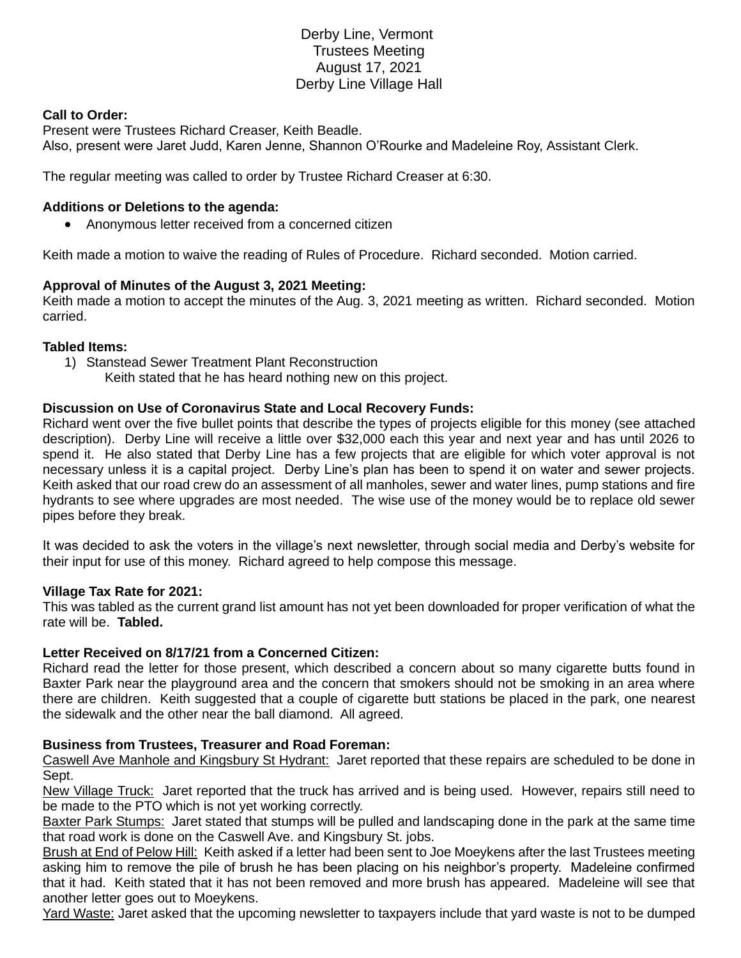# Derby Line, Vermont Trustees Meeting August 17, 2021 Derby Line Village Hall

### **Call to Order:**

Present were Trustees Richard Creaser, Keith Beadle. Also, present were Jaret Judd, Karen Jenne, Shannon O'Rourke and Madeleine Roy, Assistant Clerk.

The regular meeting was called to order by Trustee Richard Creaser at 6:30.

### **Additions or Deletions to the agenda:**

• Anonymous letter received from a concerned citizen

Keith made a motion to waive the reading of Rules of Procedure. Richard seconded. Motion carried.

### **Approval of Minutes of the August 3, 2021 Meeting:**

Keith made a motion to accept the minutes of the Aug. 3, 2021 meeting as written. Richard seconded. Motion carried.

#### **Tabled Items:**

- 1) Stanstead Sewer Treatment Plant Reconstruction
	- Keith stated that he has heard nothing new on this project.

### **Discussion on Use of Coronavirus State and Local Recovery Funds:**

Richard went over the five bullet points that describe the types of projects eligible for this money (see attached description). Derby Line will receive a little over \$32,000 each this year and next year and has until 2026 to spend it. He also stated that Derby Line has a few projects that are eligible for which voter approval is not necessary unless it is a capital project. Derby Line's plan has been to spend it on water and sewer projects. Keith asked that our road crew do an assessment of all manholes, sewer and water lines, pump stations and fire hydrants to see where upgrades are most needed. The wise use of the money would be to replace old sewer pipes before they break.

It was decided to ask the voters in the village's next newsletter, through social media and Derby's website for their input for use of this money. Richard agreed to help compose this message.

#### **Village Tax Rate for 2021:**

This was tabled as the current grand list amount has not yet been downloaded for proper verification of what the rate will be. **Tabled.**

### **Letter Received on 8/17/21 from a Concerned Citizen:**

Richard read the letter for those present, which described a concern about so many cigarette butts found in Baxter Park near the playground area and the concern that smokers should not be smoking in an area where there are children. Keith suggested that a couple of cigarette butt stations be placed in the park, one nearest the sidewalk and the other near the ball diamond. All agreed.

#### **Business from Trustees, Treasurer and Road Foreman:**

Caswell Ave Manhole and Kingsbury St Hydrant: Jaret reported that these repairs are scheduled to be done in Sept.

New Village Truck: Jaret reported that the truck has arrived and is being used. However, repairs still need to be made to the PTO which is not yet working correctly.

Baxter Park Stumps: Jaret stated that stumps will be pulled and landscaping done in the park at the same time that road work is done on the Caswell Ave. and Kingsbury St. jobs.

Brush at End of Pelow Hill: Keith asked if a letter had been sent to Joe Moeykens after the last Trustees meeting asking him to remove the pile of brush he has been placing on his neighbor's property. Madeleine confirmed that it had. Keith stated that it has not been removed and more brush has appeared. Madeleine will see that another letter goes out to Moeykens.

Yard Waste: Jaret asked that the upcoming newsletter to taxpayers include that yard waste is not to be dumped